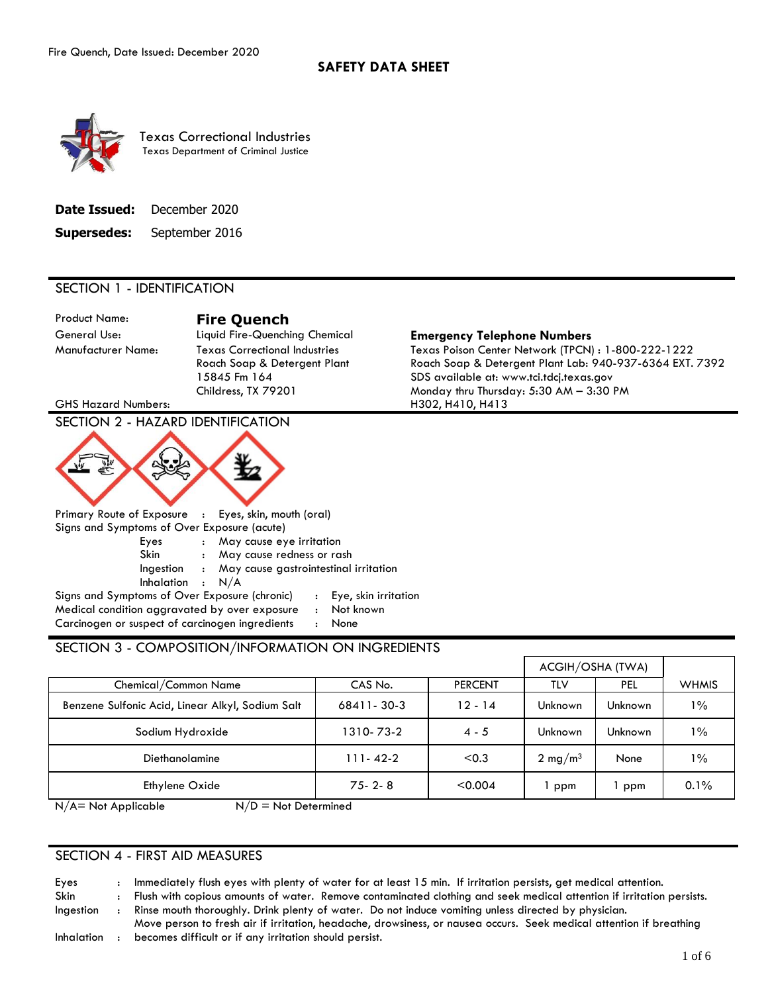

Texas Correctional Industries Texas Department of Criminal Justice

| <b>Date Issued:</b> | December 2020  |
|---------------------|----------------|
| <b>Supersedes:</b>  | September 2016 |

#### SECTION 1 - IDENTIFICATION

Product Name: **Fire Quench** 

General Use: Liquid Fire-Quenching Chemical **Emergency Telephone Numbers** 

GHS Hazard Numbers: The Matter of the Matter of the H302, H410, H413

# SECTION 2 - HAZARD IDENTIFICATION



 Primary Route of Exposure : Eyes, skin, mouth (oral) Signs and Symptoms of Over Exposure (acute) Eyes : May cause eye irritation Skin : May cause redness or rash Ingestion : May cause gastrointestinal irritation Inhalation : N/A Signs and Symptoms of Over Exposure (chronic) : Eye, skin irritation Medical condition aggravated by over exposure : Not known

Carcinogen or suspect of carcinogen ingredients : None

### SECTION 3 - COMPOSITION/INFORMATION ON INGREDIENTS

|                                                  |              |                | ACGIH/OSHA (TWA)    |         |              |
|--------------------------------------------------|--------------|----------------|---------------------|---------|--------------|
| Chemical/Common Name                             | CAS No.      | <b>PERCENT</b> | TLV                 | PEL     | <b>WHMIS</b> |
| Benzene Sulfonic Acid, Linear Alkyl, Sodium Salt | 68411-30-3   | $12 - 14$      | Unknown             | Unknown | $1\%$        |
| Sodium Hydroxide                                 | 1310-73-2    | $4 - 5$        | Unknown             | Unknown | $1\%$        |
| <b>Diethanolamine</b>                            | 111-42-2     | < 0.3          | 2 mg/m <sup>3</sup> | None    | $1\%$        |
| Ethylene Oxide                                   | $75 - 2 - 8$ | < 0.004        | ppm                 | ppm     | 0.1%         |
|                                                  |              |                |                     |         |              |

 $N/A$  = Not Applicable  $N/D$  = Not Determined

#### SECTION 4 - FIRST AID MEASURES

Eyes Skin Ingestion : : : Immediately flush eyes with plenty of water for at least 15 min. If irritation persists, get medical attention. Flush with copious amounts of water. Remove contaminated clothing and seek medical attention if irritation p ersists. Rinse mouth thoroughly. Drink plenty of water. Do not induce vomiting unless directed by physician.

Inhalation : Move person to fresh air if irritation, headache, drowsiness, or nausea occurs. Seek medical attention if bre athing becomes difficult or if any irritation should persist.

Manufacturer Name: Texas Correctional Industries Texas Poison Center Network (TPCN) : 1-800-222-1222 Roach Soap & Detergent Plant Roach Soap & Detergent Plant Lab: 940-937-6364 EXT. 7392 15845 Fm 164 SDS available at:<www.tci.tdcj.texas.gov> Childress, TX 79201 Monday thru Thursday: 5:30 AM – 3:30 PM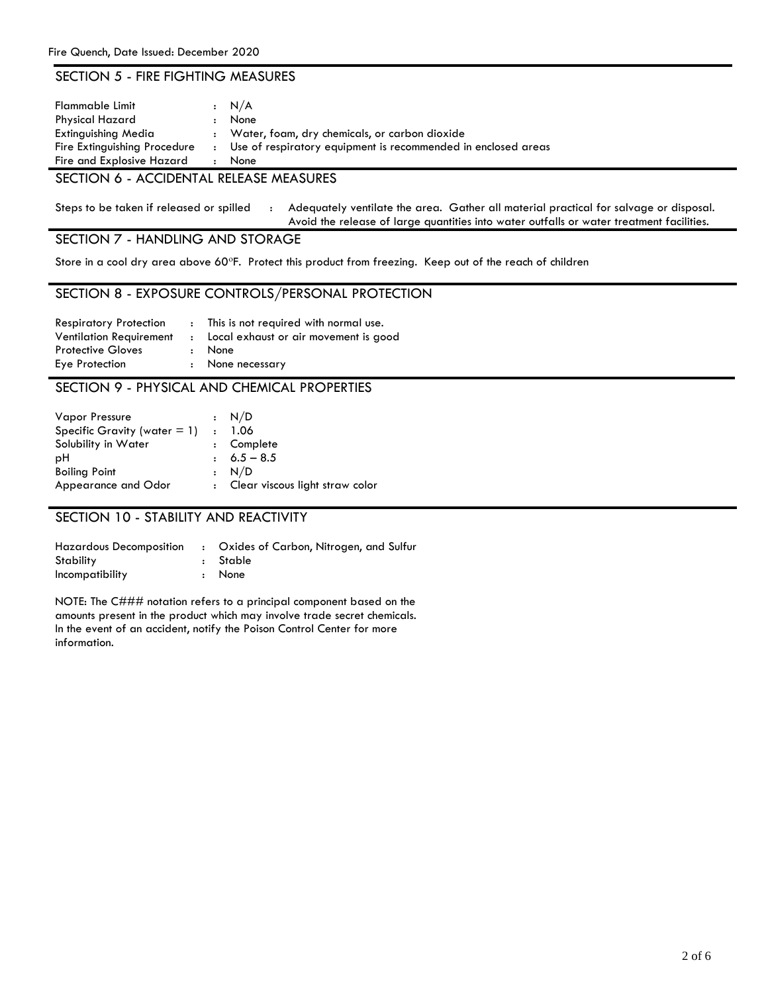#### SECTION 5 - FIRE FIGHTING MEASURES

| <b>Flammable Limit</b><br><b>Physical Hazard</b><br>Extinguishing Media<br>Fire Extinguishing Procedure | $\ddot{\phantom{a}}$ | $\cdot$ N/A<br>None<br>: Water, foam, dry chemicals, or carbon dioxide<br>Use of respiratory equipment is recommended in enclosed areas |
|---------------------------------------------------------------------------------------------------------|----------------------|-----------------------------------------------------------------------------------------------------------------------------------------|
| Fire and Explosive Hazard                                                                               |                      | None                                                                                                                                    |
|                                                                                                         |                      |                                                                                                                                         |

## SECTION 6 - ACCIDENTAL RELEASE MEASURES

 Steps to be taken if released or spilled : Adequately ventilate the area. Gather all material practical for salvage or disposal. Avoid the release of large quantities into water outfalls or water treatment facilities.

SECTION 7 - HANDLING AND STORAGE

Store in a cool dry area above 60°F. Protect this product from freezing. Keep out of the reach of children

#### SECTION 8 - EXPOSURE CONTROLS/PERSONAL PROTECTION

| <b>Respiratory Protection</b><br><b>Ventilation Requirement</b> | : This is not required with normal use.<br>: Local exhaust or air movement is good |
|-----------------------------------------------------------------|------------------------------------------------------------------------------------|
| <b>Protective Gloves</b><br>Eye Protection                      | : None<br>: None necessary                                                         |

#### SECTION 9 - PHYSICAL AND CHEMICAL PROPERTIES

| Vapor Pressure<br>Specific Gravity (water $= 1$ )<br>Solubility in Water<br>рH | : N/D<br>. 1.06<br>: Complete<br>$\pm 6.5 - 8.5$ |
|--------------------------------------------------------------------------------|--------------------------------------------------|
| <b>Boiling Point</b><br>Appearance and Odor                                    | : N/D<br>: Clear viscous light straw color       |

### SECTION 10 - STABILITY AND REACTIVITY

| <b>Hazardous Decomposition</b> | : Oxides of Carbon, Nitrogen, and Sulfur |
|--------------------------------|------------------------------------------|
| Stability                      | : Stable                                 |
| <i>Incompatibility</i>         | : None                                   |

NOTE: The C### notation refers to a principal component based on the amounts present in the product which may involve trade secret chemicals. In the event of an accident, notify the Poison Control Center for more information.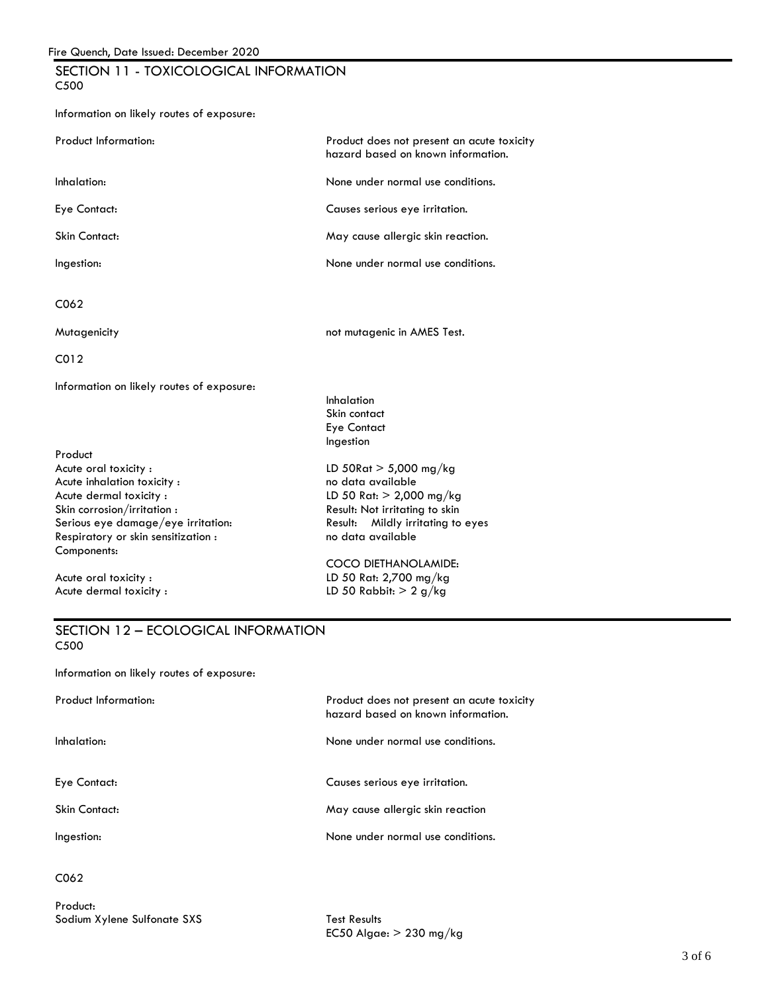# F<u>ire Quench, Date Issued: December 2020</u><br>SECTION 11 - TOXICOLOGICAL INFORMATION C500

| Information on likely routes of exposure: |  |  |  |  |  |
|-------------------------------------------|--|--|--|--|--|
|-------------------------------------------|--|--|--|--|--|

| <b>Product Information:</b>                                                                                                                                                                                                                      | Product does not present an acute toxicity<br>hazard based on known information.                                                                                                                                                                            |
|--------------------------------------------------------------------------------------------------------------------------------------------------------------------------------------------------------------------------------------------------|-------------------------------------------------------------------------------------------------------------------------------------------------------------------------------------------------------------------------------------------------------------|
| Inhalation:                                                                                                                                                                                                                                      | None under normal use conditions.                                                                                                                                                                                                                           |
| Eye Contact:                                                                                                                                                                                                                                     | Causes serious eye irritation.                                                                                                                                                                                                                              |
| <b>Skin Contact:</b>                                                                                                                                                                                                                             | May cause allergic skin reaction.                                                                                                                                                                                                                           |
| Ingestion:                                                                                                                                                                                                                                       | None under normal use conditions.                                                                                                                                                                                                                           |
| C062                                                                                                                                                                                                                                             |                                                                                                                                                                                                                                                             |
| Mutagenicity                                                                                                                                                                                                                                     | not mutagenic in AMES Test.                                                                                                                                                                                                                                 |
| CO12                                                                                                                                                                                                                                             |                                                                                                                                                                                                                                                             |
| Information on likely routes of exposure:<br>Product<br>Acute oral toxicity:<br>Acute inhalation toxicity:<br>Acute dermal toxicity:<br>Skin corrosion/irritation :<br>Serious eye damage/eye irritation:<br>Respiratory or skin sensitization : | Inhalation<br>Skin contact<br><b>Eye Contact</b><br>Ingestion<br>LD 50 $\text{Rat} > 5,000 \text{ mg/kg}$<br>no data available<br>LD 50 Rat: $> 2,000$ mg/kg<br>Result: Not irritating to skin<br>Mildly irritating to eyes<br>Result:<br>no data available |
| Components:<br>Acute oral toxicity:<br>Acute dermal toxicity:                                                                                                                                                                                    | COCO DIETHANOLAMIDE:<br>LD 50 Rat: 2,700 mg/kg<br>LD 50 Rabbit: $> 2$ g/kg                                                                                                                                                                                  |

#### SECTION 12 – ECOLOGICAL INFORMATION C500

Information on likely routes of exposure:

| <b>Product Information:</b> | Product does not present an acute toxicity<br>hazard based on known information. |
|-----------------------------|----------------------------------------------------------------------------------|
| Inhalation:                 | None under normal use conditions.                                                |
| Eye Contact:                | Causes serious eye irritation.                                                   |
| Skin Contact:               | May cause allergic skin reaction                                                 |
| Ingestion:                  | None under normal use conditions.                                                |
| C <sub>062</sub>            |                                                                                  |

Product: Sodium Xylene Sulfonate SXS Test Results

EC50 Algae:  $> 230$  mg/kg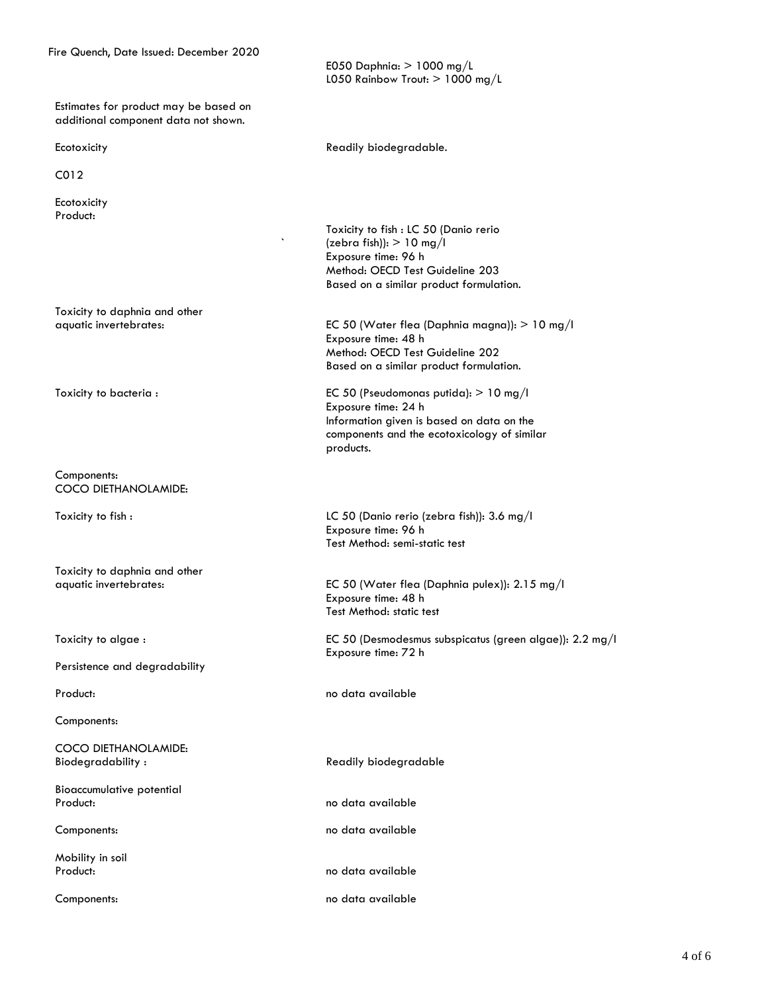Fire Quench, Date Issued: December 2020 E050 Daphnia: > 1000 mg/L

 Estimates for product may be based on additional component data not shown.

C012

Ecotoxicity Product:

Toxicity to daphnia and other

Components: COCO DIETHANOLAMIDE:

Toxicity to daphnia and other

Toxicity to algae :

Persistence and degradability

Components:

COCO DIETHANOLAMIDE: Biodegradability : The Readily biodegradable

Bioaccumulative potential Product: No data available

Mobility in soil

L050 Rainbow Trout:  $> 1000$  mg/L

Ecotoxicity **Example 20** Readily biodegradable.

`

Toxicity to fish : LC 50 (Danio rerio (zebra fish)):  $> 10$  mg/l Exposure time: 96 h Method: OECD Test Guideline 203 Based on a similar product formulation.

aquatic invertebrates: EC 50 (Water flea (Daphnia magna)): > 10 mg/l Exposure time: 48 h Method: OECD Test Guideline 202 Based on a similar product formulation.

 components and the ecotoxicology of similar Toxicity to bacteria : EC 50 (Pseudomonas putida): > 10 mg/l Exposure time: 24 h Information given is based on data on the products.

Toxicity to fish : LC 50 (Danio rerio (zebra fish)): 3.6 mg/l Exposure time: 96 h Test Method: semi-static test

aquatic invertebrates: EC 50 (Water flea (Daphnia pulex)): 2.15 mg/l Exposure time: 48 h Test Method: static test

> EC 50 (Desmodesmus subspicatus (green algae)): 2.2 mg/l Exposure time: 72 h

Product: No data available

Components: no data available

Product: No data available

Components: no data available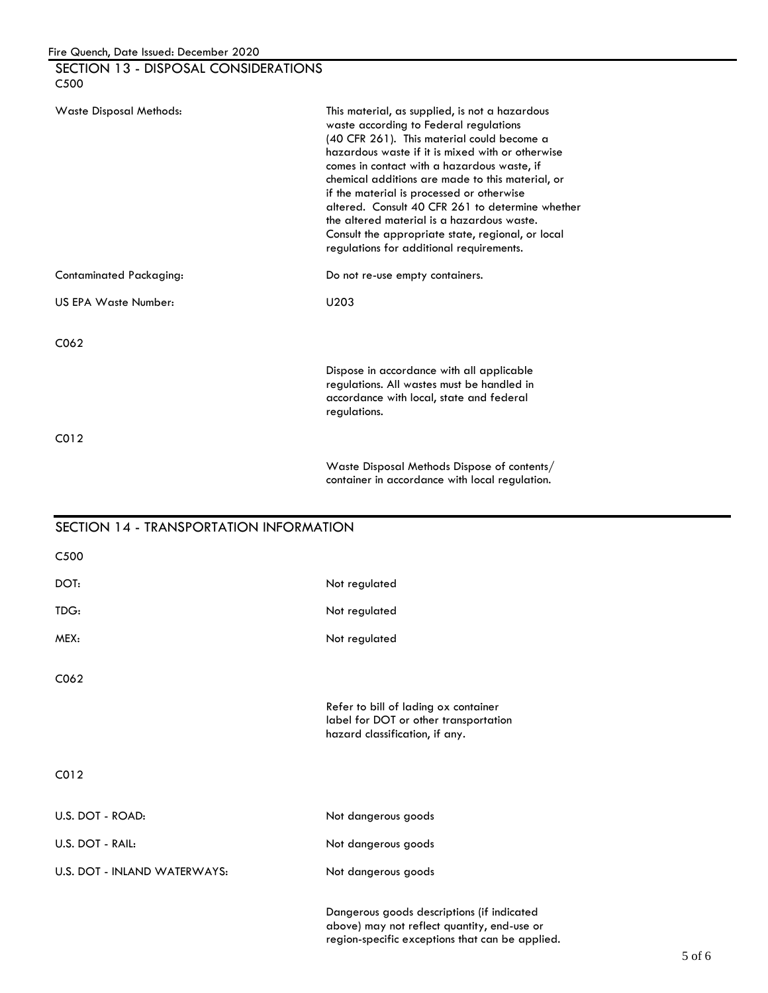| SECTION 13 - DISPOSAL CONSIDERATIONS<br>C <sub>5</sub> 00 |                                                                                                                                                                                                                                                                                                                                                                                                                                                                                                                                               |
|-----------------------------------------------------------|-----------------------------------------------------------------------------------------------------------------------------------------------------------------------------------------------------------------------------------------------------------------------------------------------------------------------------------------------------------------------------------------------------------------------------------------------------------------------------------------------------------------------------------------------|
| Waste Disposal Methods:                                   | This material, as supplied, is not a hazardous<br>waste according to Federal regulations<br>(40 CFR 261). This material could become a<br>hazardous waste if it is mixed with or otherwise<br>comes in contact with a hazardous waste, if<br>chemical additions are made to this material, or<br>if the material is processed or otherwise<br>altered. Consult 40 CFR 261 to determine whether<br>the altered material is a hazardous waste.<br>Consult the appropriate state, regional, or local<br>regulations for additional requirements. |
| <b>Contaminated Packaging:</b>                            | Do not re-use empty containers.                                                                                                                                                                                                                                                                                                                                                                                                                                                                                                               |
| US EPA Waste Number:                                      | U203                                                                                                                                                                                                                                                                                                                                                                                                                                                                                                                                          |
| C <sub>062</sub>                                          |                                                                                                                                                                                                                                                                                                                                                                                                                                                                                                                                               |
|                                                           | Dispose in accordance with all applicable<br>regulations. All wastes must be handled in<br>accordance with local, state and federal<br>regulations.                                                                                                                                                                                                                                                                                                                                                                                           |
| CO <sub>12</sub>                                          |                                                                                                                                                                                                                                                                                                                                                                                                                                                                                                                                               |
|                                                           | Waste Disposal Methods Dispose of contents/<br>container in accordance with local regulation.                                                                                                                                                                                                                                                                                                                                                                                                                                                 |

# SECTION 14 - TRANSPORTATION INFORMATION C500 DOT: Not regulated TDG: Not regulated MEX: Not regulated C062 Refer to bill of lading ox container label for DOT or other transportation hazard classification, if any. C012 U.S. DOT - ROAD: Not dangerous goods U.S. DOT - RAIL: Not dangerous goods U.S. DOT - INLAND WATERWAYS: Not dangerous goods Dangerous goods descriptions (if indicated above) may not reflect quantity, end-use or region-specific exceptions that can be applied.